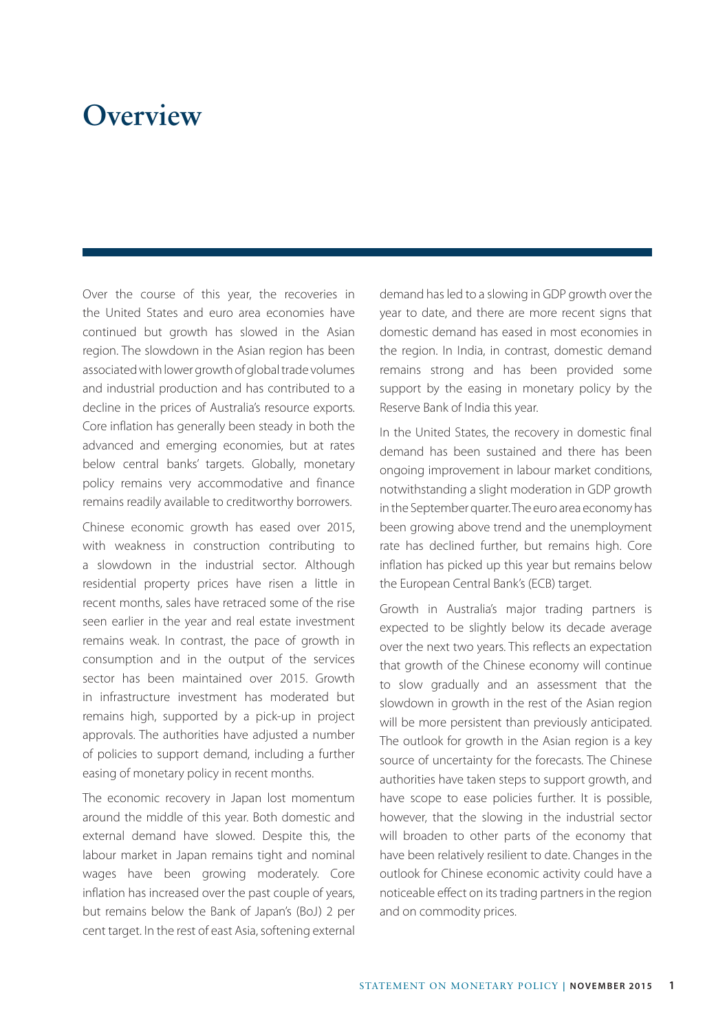## **Overview**

Over the course of this year, the recoveries in the United States and euro area economies have continued but growth has slowed in the Asian region. The slowdown in the Asian region has been associated with lower growth of global trade volumes and industrial production and has contributed to a decline in the prices of Australia's resource exports. Core inflation has generally been steady in both the advanced and emerging economies, but at rates below central banks' targets. Globally, monetary policy remains very accommodative and finance remains readily available to creditworthy borrowers.

Chinese economic growth has eased over 2015, with weakness in construction contributing to a slowdown in the industrial sector. Although residential property prices have risen a little in recent months, sales have retraced some of the rise seen earlier in the year and real estate investment remains weak. In contrast, the pace of growth in consumption and in the output of the services sector has been maintained over 2015. Growth in infrastructure investment has moderated but remains high, supported by a pick-up in project approvals. The authorities have adjusted a number of policies to support demand, including a further easing of monetary policy in recent months.

The economic recovery in Japan lost momentum around the middle of this year. Both domestic and external demand have slowed. Despite this, the labour market in Japan remains tight and nominal wages have been growing moderately. Core inflation has increased over the past couple of years, but remains below the Bank of Japan's (BoJ) 2 per cent target. In the rest of east Asia, softening external demand has led to a slowing in GDP growth over the year to date, and there are more recent signs that domestic demand has eased in most economies in the region. In India, in contrast, domestic demand remains strong and has been provided some support by the easing in monetary policy by the Reserve Bank of India this year.

In the United States, the recovery in domestic final demand has been sustained and there has been ongoing improvement in labour market conditions, notwithstanding a slight moderation in GDP growth in the September quarter. The euro area economy has been growing above trend and the unemployment rate has declined further, but remains high. Core inflation has picked up this year but remains below the European Central Bank's (ECB) target.

Growth in Australia's major trading partners is expected to be slightly below its decade average over the next two years. This reflects an expectation that growth of the Chinese economy will continue to slow gradually and an assessment that the slowdown in growth in the rest of the Asian region will be more persistent than previously anticipated. The outlook for growth in the Asian region is a key source of uncertainty for the forecasts. The Chinese authorities have taken steps to support growth, and have scope to ease policies further. It is possible, however, that the slowing in the industrial sector will broaden to other parts of the economy that have been relatively resilient to date. Changes in the outlook for Chinese economic activity could have a noticeable effect on its trading partners in the region and on commodity prices.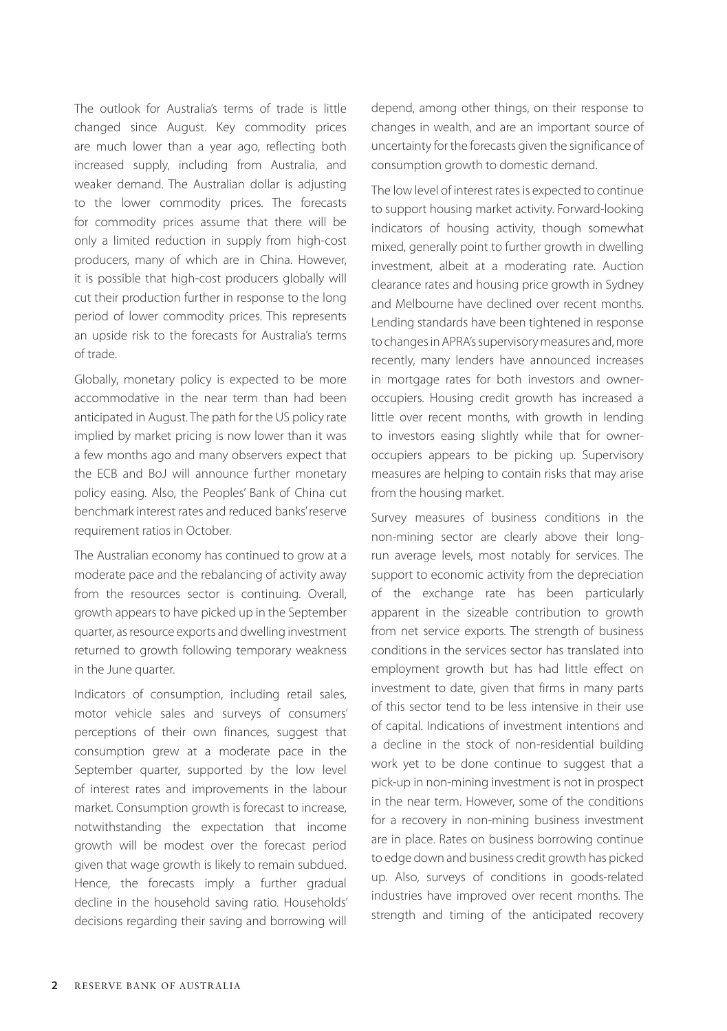The outlook for Australia's terms of trade is little changed since August. Key commodity prices are much lower than a year ago, reflecting both increased supply, including from Australia, and weaker demand. The Australian dollar is adjusting to the lower commodity prices. The forecasts for commodity prices assume that there will be only a limited reduction in supply from high-cost producers, many of which are in China. However, it is possible that high-cost producers globally will cut their production further in response to the long period of lower commodity prices. This represents an upside risk to the forecasts for Australia's terms of trade.

Globally, monetary policy is expected to be more accommodative in the near term than had been anticipated in August. The path for the US policy rate implied by market pricing is now lower than it was a few months ago and many observers expect that the ECB and BoJ will announce further monetary policy easing. Also, the Peoples' Bank of China cut benchmark interest rates and reduced banks' reserve requirement ratios in October.

The Australian economy has continued to grow at a moderate pace and the rebalancing of activity away from the resources sector is continuing. Overall, growth appears to have picked up in the September quarter, as resource exports and dwelling investment returned to growth following temporary weakness in the June quarter.

Indicators of consumption, including retail sales, motor vehicle sales and surveys of consumers' perceptions of their own finances, suggest that consumption grew at a moderate pace in the September quarter, supported by the low level of interest rates and improvements in the labour market. Consumption growth is forecast to increase, notwithstanding the expectation that income growth will be modest over the forecast period given that wage growth is likely to remain subdued. Hence, the forecasts imply a further gradual decline in the household saving ratio. Households' decisions regarding their saving and borrowing will

depend, among other things, on their response to changes in wealth, and are an important source of uncertainty for the forecasts given the significance of consumption growth to domestic demand.

The low level of interest rates is expected to continue to support housing market activity. Forward-looking indicators of housing activity, though somewhat mixed, generally point to further growth in dwelling investment, albeit at a moderating rate. Auction clearance rates and housing price growth in Sydney and Melbourne have declined over recent months. Lending standards have been tightened in response to changes in APRA's supervisory measures and, more recently, many lenders have announced increases in mortgage rates for both investors and owneroccupiers. Housing credit growth has increased a little over recent months, with growth in lending to investors easing slightly while that for owneroccupiers appears to be picking up. Supervisory measures are helping to contain risks that may arise from the housing market.

Survey measures of business conditions in the non-mining sector are clearly above their longrun average levels, most notably for services. The support to economic activity from the depreciation of the exchange rate has been particularly apparent in the sizeable contribution to growth from net service exports. The strength of business conditions in the services sector has translated into employment growth but has had little effect on investment to date, given that firms in many parts of this sector tend to be less intensive in their use of capital. Indications of investment intentions and a decline in the stock of non-residential building work yet to be done continue to suggest that a pick-up in non-mining investment is not in prospect in the near term. However, some of the conditions for a recovery in non-mining business investment are in place. Rates on business borrowing continue to edge down and business credit growth has picked up. Also, surveys of conditions in goods-related industries have improved over recent months. The strength and timing of the anticipated recovery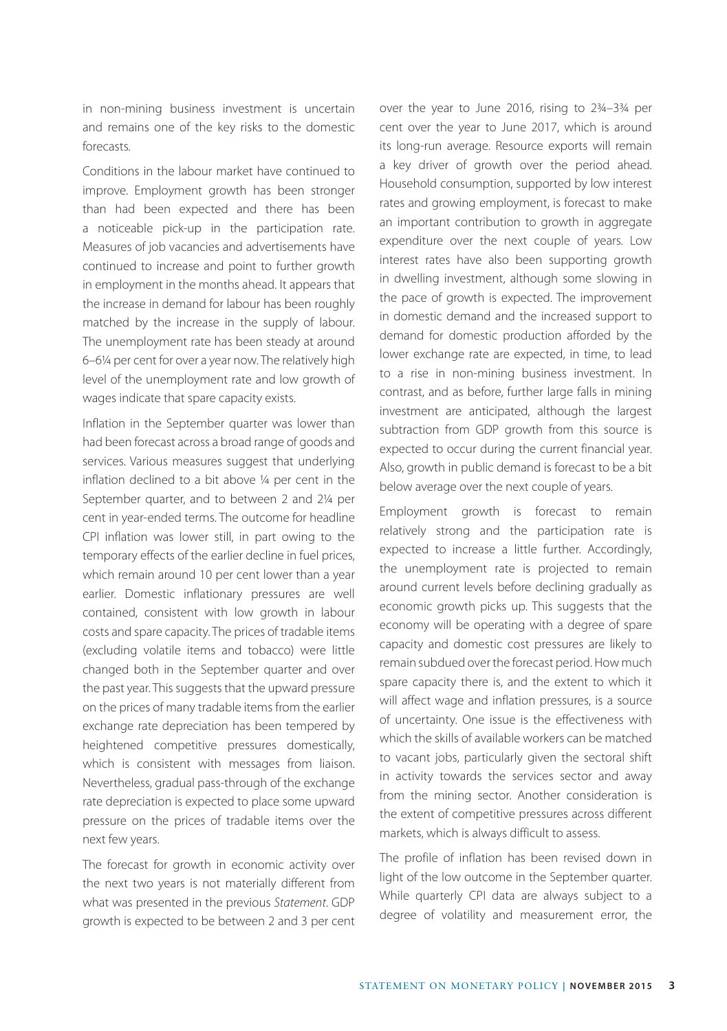in non-mining business investment is uncertain and remains one of the key risks to the domestic forecasts.

Conditions in the labour market have continued to improve. Employment growth has been stronger than had been expected and there has been a noticeable pick-up in the participation rate. Measures of job vacancies and advertisements have continued to increase and point to further growth in employment in the months ahead. It appears that the increase in demand for labour has been roughly matched by the increase in the supply of labour. The unemployment rate has been steady at around 6–6¼ per cent for over a year now. The relatively high level of the unemployment rate and low growth of wages indicate that spare capacity exists.

Inflation in the September quarter was lower than had been forecast across a broad range of goods and services. Various measures suggest that underlying inflation declined to a bit above ¼ per cent in the September quarter, and to between 2 and 2¼ per cent in year-ended terms. The outcome for headline CPI inflation was lower still, in part owing to the temporary effects of the earlier decline in fuel prices, which remain around 10 per cent lower than a year earlier. Domestic inflationary pressures are well contained, consistent with low growth in labour costs and spare capacity. The prices of tradable items (excluding volatile items and tobacco) were little changed both in the September quarter and over the past year. This suggests that the upward pressure on the prices of many tradable items from the earlier exchange rate depreciation has been tempered by heightened competitive pressures domestically, which is consistent with messages from liaison. Nevertheless, gradual pass-through of the exchange rate depreciation is expected to place some upward pressure on the prices of tradable items over the next few years.

The forecast for growth in economic activity over the next two years is not materially different from what was presented in the previous *Statement*. GDP growth is expected to be between 2 and 3 per cent over the year to June 2016, rising to 2¾–3¾ per cent over the year to June 2017, which is around its long-run average. Resource exports will remain a key driver of growth over the period ahead. Household consumption, supported by low interest rates and growing employment, is forecast to make an important contribution to growth in aggregate expenditure over the next couple of years. Low interest rates have also been supporting growth in dwelling investment, although some slowing in the pace of growth is expected. The improvement in domestic demand and the increased support to demand for domestic production afforded by the lower exchange rate are expected, in time, to lead to a rise in non-mining business investment. In contrast, and as before, further large falls in mining investment are anticipated, although the largest subtraction from GDP growth from this source is expected to occur during the current financial year. Also, growth in public demand is forecast to be a bit below average over the next couple of years.

Employment growth is forecast to remain relatively strong and the participation rate is expected to increase a little further. Accordingly, the unemployment rate is projected to remain around current levels before declining gradually as economic growth picks up. This suggests that the economy will be operating with a degree of spare capacity and domestic cost pressures are likely to remain subdued over the forecast period. How much spare capacity there is, and the extent to which it will affect wage and inflation pressures, is a source of uncertainty. One issue is the effectiveness with which the skills of available workers can be matched to vacant jobs, particularly given the sectoral shift in activity towards the services sector and away from the mining sector. Another consideration is the extent of competitive pressures across different markets, which is always difficult to assess.

The profile of inflation has been revised down in light of the low outcome in the September quarter. While quarterly CPI data are always subject to a degree of volatility and measurement error, the